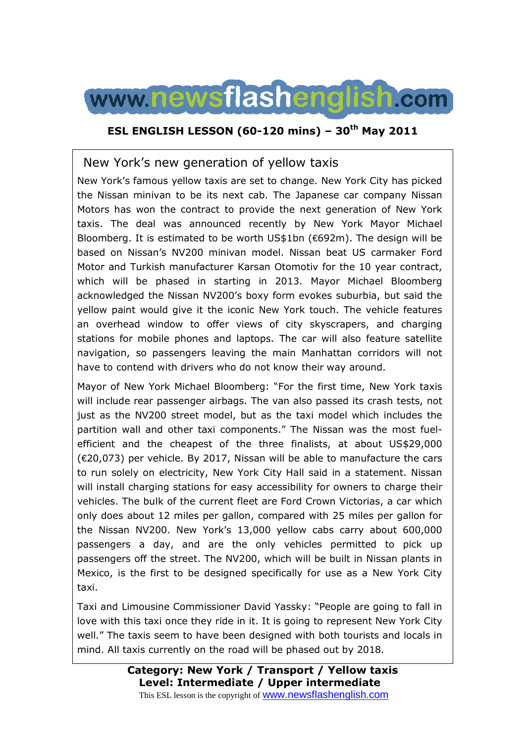

### **ESL ENGLISH LESSON (60-120 mins) – 30th May 2011**

### New York's new generation of yellow taxis

New York's famous yellow taxis are set to change. New York City has picked the Nissan minivan to be its next cab. The Japanese car company Nissan Motors has won the contract to provide the next generation of New York taxis. The deal was announced recently by New York Mayor Michael Bloomberg. It is estimated to be worth US\$1bn (€692m). The design will be based on Nissan's NV200 minivan model. Nissan beat US carmaker Ford Motor and Turkish manufacturer Karsan Otomotiv for the 10 year contract, which will be phased in starting in 2013. Mayor Michael Bloomberg acknowledged the Nissan NV200's boxy form evokes suburbia, but said the yellow paint would give it the iconic New York touch. The vehicle features an overhead window to offer views of city skyscrapers, and charging stations for mobile phones and laptops. The car will also feature satellite navigation, so passengers leaving the main Manhattan corridors will not have to contend with drivers who do not know their way around.

Mayor of New York Michael Bloomberg: "For the first time, New York taxis will include rear passenger airbags. The van also passed its crash tests, not just as the NV200 street model, but as the taxi model which includes the partition wall and other taxi components." The Nissan was the most fuelefficient and the cheapest of the three finalists, at about US\$29,000 (€20,073) per vehicle. By 2017, Nissan will be able to manufacture the cars to run solely on electricity, New York City Hall said in a statement. Nissan will install charging stations for easy accessibility for owners to charge their vehicles. The bulk of the current fleet are Ford Crown Victorias, a car which only does about 12 miles per gallon, compared with 25 miles per gallon for the Nissan NV200. New York's 13,000 yellow cabs carry about 600,000 passengers a day, and are the only vehicles permitted to pick up passengers off the street. The NV200, which will be built in Nissan plants in Mexico, is the first to be designed specifically for use as a New York City taxi.

Taxi and Limousine Commissioner David Yassky: "People are going to fall in love with this taxi once they ride in it. It is going to represent New York City well." The taxis seem to have been designed with both tourists and locals in mind. All taxis currently on the road will be phased out by 2018.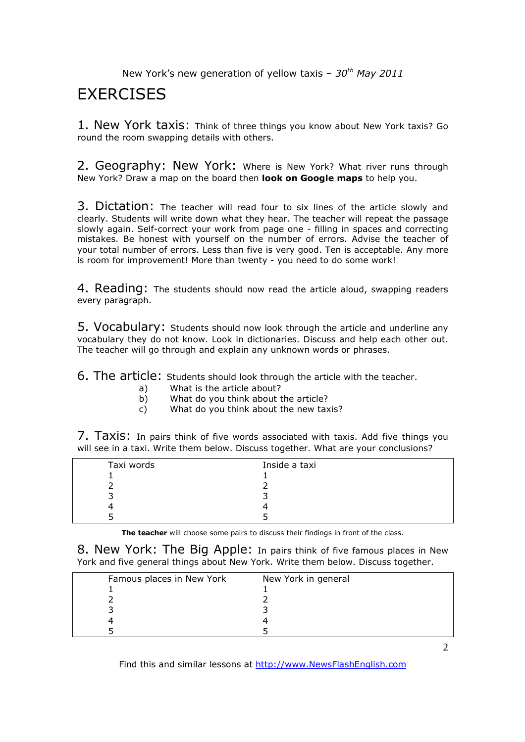# **FXFRCISES**

1. New York taxis: Think of three things you know about New York taxis? Go round the room swapping details with others.

2. Geography: New York: Where is New York? What river runs through New York? Draw a map on the board then **look on Google maps** to help you.

3. Dictation: The teacher will read four to six lines of the article slowly and clearly. Students will write down what they hear. The teacher will repeat the passage slowly again. Self-correct your work from page one - filling in spaces and correcting mistakes. Be honest with yourself on the number of errors. Advise the teacher of your total number of errors. Less than five is very good. Ten is acceptable. Any more is room for improvement! More than twenty - you need to do some work!

4. Reading: The students should now read the article aloud, swapping readers every paragraph.

5. Vocabulary: Students should now look through the article and underline any vocabulary they do not know. Look in dictionaries. Discuss and help each other out. The teacher will go through and explain any unknown words or phrases.

6. The article: Students should look through the article with the teacher.

- a) What is the article about?
- b) What do you think about the article?
- c) What do you think about the new taxis?

7. Taxis: In pairs think of five words associated with taxis. Add five things you will see in a taxi. Write them below. Discuss together. What are your conclusions?

| Taxi words | Inside a taxi |
|------------|---------------|
|            |               |
|            |               |
|            |               |
|            |               |
|            |               |

**The teacher** will choose some pairs to discuss their findings in front of the class.

8. New York: The Big Apple: In pairs think of five famous places in New York and five general things about New York. Write them below. Discuss together.

| Famous places in New York | New York in general |
|---------------------------|---------------------|
|                           |                     |
|                           |                     |
|                           |                     |
|                           |                     |
|                           |                     |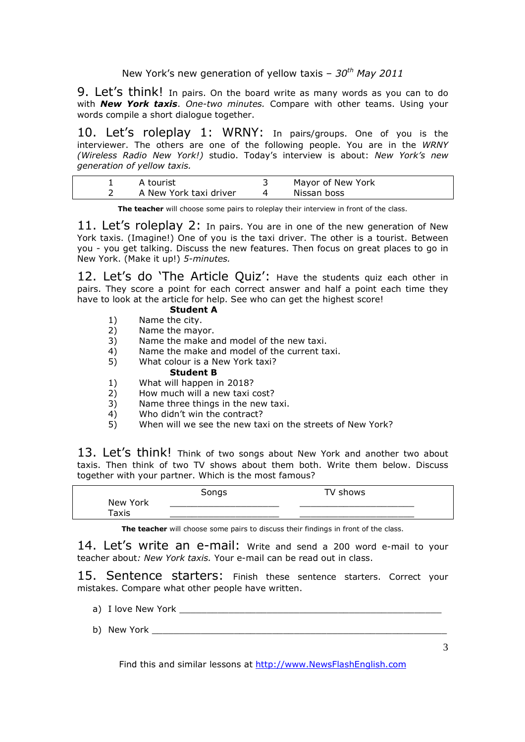9. Let's think! In pairs. On the board write as many words as you can to do with *New York taxis*. *One-two minutes.* Compare with other teams. Using your words compile a short dialogue together.

10. Let's roleplay 1: WRNY: In pairs/groups. One of you is the interviewer. The others are one of the following people. You are in the *WRNY (Wireless Radio New York!)* studio. Today's interview is about: *New York's new generation of yellow taxis.* 

| A tourist              | Mayor of New York |  |
|------------------------|-------------------|--|
| A New York taxi driver | Nissan boss       |  |

**The teacher** will choose some pairs to roleplay their interview in front of the class.

11. Let's roleplay 2: In pairs. You are in one of the new generation of New York taxis. (Imagine!) One of you is the taxi driver. The other is a tourist. Between you - you get talking. Discuss the new features. Then focus on great places to go in New York. (Make it up!) *5-minutes.* 

12. Let's do 'The Article Quiz': Have the students quiz each other in pairs. They score a point for each correct answer and half a point each time they have to look at the article for help. See who can get the highest score!

### **Student A**

- 1) Name the city. 2) Name the mayor.
- 
- 3) Name the make and model of the new taxi.
- 4) Name the make and model of the current taxi.<br>5) What colour is a New York taxi? What colour is a New York taxi?
	- **Student B**
- 1) What will happen in 2018?
- 2) How much will a new taxi cost?
- 3) Name three things in the new taxi.
- 4) Who didn't win the contract?<br>5) When will we see the new ta:
- When will we see the new taxi on the streets of New York?

13. Let's think! Think of two songs about New York and another two about taxis. Then think of two TV shows about them both. Write them below. Discuss together with your partner. Which is the most famous?

|                              | Songs | TV .<br>shows ' |
|------------------------------|-------|-----------------|
| New York                     |       |                 |
| $\mathsf{r}_{\mathsf{axis}}$ |       |                 |

**The teacher** will choose some pairs to discuss their findings in front of the class.

14. Let's write an e-mail: Write and send a 200 word e-mail to your teacher about*: New York taxis.* Your e-mail can be read out in class.

15. Sentence starters: Finish these sentence starters. Correct your mistakes. Compare what other people have written.

- a) I love New York **Example 20**
- b) New York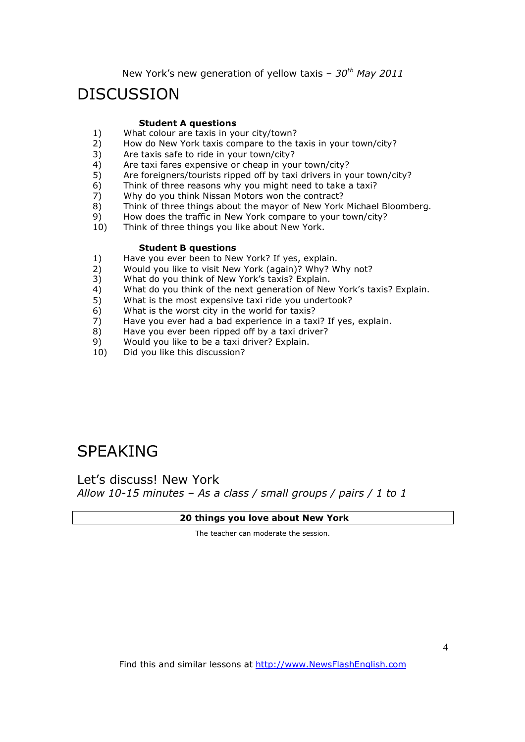# **DISCUSSION**

#### **Student A questions**

- 1) What colour are taxis in your city/town?<br>2) How do New York taxis compare to the t
- 2) How do New York taxis compare to the taxis in your town/city?<br>3) Are taxis safe to ride in your town/city?
- Are taxis safe to ride in your town/city?
- 4) Are taxi fares expensive or cheap in your town/city?
- 5) Are foreigners/tourists ripped off by taxi drivers in your town/city?
- 6) Think of three reasons why you might need to take a taxi?
- 7) Why do you think Nissan Motors won the contract?
- 8) Think of three things about the mayor of New York Michael Bloomberg.
- 9) How does the traffic in New York compare to your town/city?
- 10) Think of three things you like about New York.

#### **Student B questions**

- 1) Have you ever been to New York? If yes, explain.
- 2) Would you like to visit New York (again)? Why? Why not?
- 3) What do you think of New York's taxis? Explain.
- 4) What do you think of the next generation of New York's taxis? Explain.
- 5) What is the most expensive taxi ride you undertook?
- 6) What is the worst city in the world for taxis?
- 7) Have you ever had a bad experience in a taxi? If yes, explain.
- 8) Have you ever been ripped off by a taxi driver?<br>9) Would you like to be a taxi driver? Explain.
- Would you like to be a taxi driver? Explain.
- 10) Did you like this discussion?

# SPEAKING

Let's discuss! New York *Allow 10-15 minutes – As a class / small groups / pairs / 1 to 1*

#### **20 things you love about New York**

The teacher can moderate the session.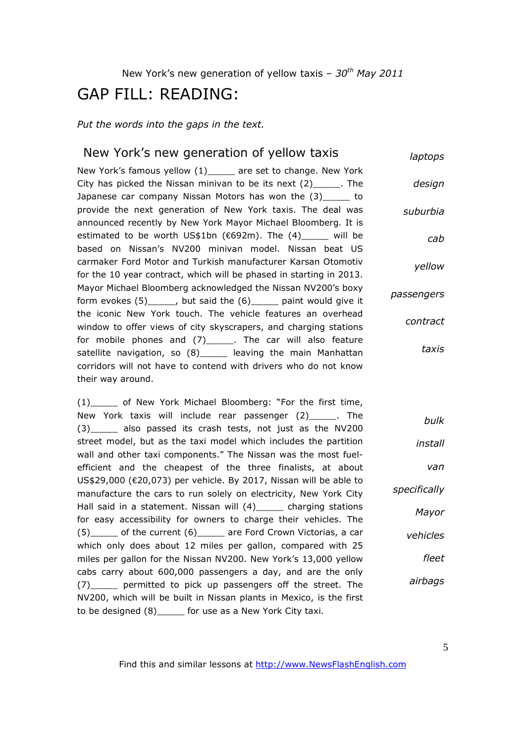# GAP FILL: READING:

*Put the words into the gaps in the text.* 

#### New York's new generation of yellow taxis New York's famous yellow (1) are set to change. New York City has picked the Nissan minivan to be its next (2)\_\_\_\_\_. The Japanese car company Nissan Motors has won the (3)\_\_\_\_\_ to provide the next generation of New York taxis. The deal was announced recently by New York Mayor Michael Bloomberg. It is estimated to be worth US\$1bn ( $692m$ ). The  $(4)$  will be based on Nissan's NV200 minivan model. Nissan beat US carmaker Ford Motor and Turkish manufacturer Karsan Otomotiv for the 10 year contract, which will be phased in starting in 2013. Mayor Michael Bloomberg acknowledged the Nissan NV200's boxy form evokes (5)\_\_\_\_\_, but said the (6)\_\_\_\_\_ paint would give it the iconic New York touch. The vehicle features an overhead window to offer views of city skyscrapers, and charging stations for mobile phones and (7)\_\_\_\_\_. The car will also feature satellite navigation, so (8) leaving the main Manhattan corridors will not have to contend with drivers who do not know their way around. *laptops design suburbia cab yellow passengers contract taxis*

(1) of New York Michael Bloomberg: "For the first time, New York taxis will include rear passenger (2) The (3)\_\_\_\_\_ also passed its crash tests, not just as the NV200 street model, but as the taxi model which includes the partition wall and other taxi components." The Nissan was the most fuelefficient and the cheapest of the three finalists, at about US\$29,000 (€20,073) per vehicle. By 2017, Nissan will be able to manufacture the cars to run solely on electricity, New York City Hall said in a statement. Nissan will (4) charging stations for easy accessibility for owners to charge their vehicles. The (5)\_\_\_\_\_ of the current (6)\_\_\_\_\_ are Ford Crown Victorias, a car which only does about 12 miles per gallon, compared with 25 miles per gallon for the Nissan NV200. New York's 13,000 yellow cabs carry about 600,000 passengers a day, and are the only (7) permitted to pick up passengers off the street. The NV200, which will be built in Nissan plants in Mexico, is the first to be designed (8)\_\_\_\_\_ for use as a New York City taxi. *specifically vehicles airbags*

Find this and similar lessons at http://www.NewsFlashEnglish.com

*bulk*

*install*

*Mayor*

*fleet*

*van*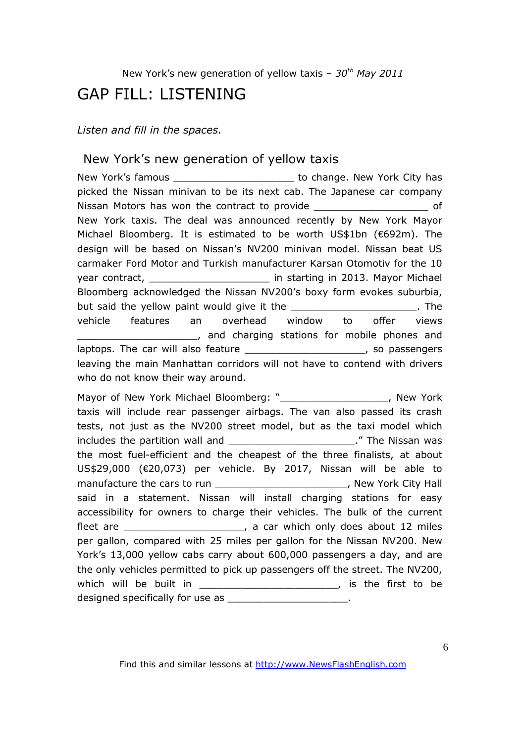# GAP FILL: LISTENING

*Listen and fill in the spaces.* 

### New York's new generation of yellow taxis

New York's famous extended to change. New York City has picked the Nissan minivan to be its next cab. The Japanese car company Nissan Motors has won the contract to provide \_\_\_\_\_\_\_\_\_\_\_\_\_\_\_\_\_\_\_\_\_\_\_\_\_\_\_\_\_\_\_\_\_\_ of New York taxis. The deal was announced recently by New York Mayor Michael Bloomberg. It is estimated to be worth US\$1bn (€692m). The design will be based on Nissan's NV200 minivan model. Nissan beat US carmaker Ford Motor and Turkish manufacturer Karsan Otomotiv for the 10 year contract, which contract is a starting in 2013. Mayor Michael Bloomberg acknowledged the Nissan NV200's boxy form evokes suburbia, but said the yellow paint would give it the \_\_\_\_\_\_\_\_\_\_\_\_\_\_\_\_\_\_\_\_\_\_\_\_\_\_. The vehicle features an overhead window to offer views \_\_\_\_\_\_\_\_\_\_\_\_\_\_\_\_\_\_\_\_, and charging stations for mobile phones and laptops. The car will also feature \_\_\_\_\_\_\_\_\_\_\_\_\_\_\_\_\_\_\_\_\_\_\_\_, so passengers leaving the main Manhattan corridors will not have to contend with drivers who do not know their way around.

Mayor of New York Michael Bloomberg: " The Mew York of New York taxis will include rear passenger airbags. The van also passed its crash tests, not just as the NV200 street model, but as the taxi model which includes the partition wall and **the includes** the partition wall and the most fuel-efficient and the cheapest of the three finalists, at about US\$29,000 (€20,073) per vehicle. By 2017, Nissan will be able to manufacture the cars to run **way to the case of the case of the contract of the case of the contract of the contract of the contract of the contract of the contract of the contract of the contract of the contract of the co** said in a statement. Nissan will install charging stations for easy accessibility for owners to charge their vehicles. The bulk of the current fleet are the contract of the car which only does about 12 miles per gallon, compared with 25 miles per gallon for the Nissan NV200. New York's 13,000 yellow cabs carry about 600,000 passengers a day, and are the only vehicles permitted to pick up passengers off the street. The NV200, which will be built in \_\_\_\_\_\_\_\_\_\_\_\_\_\_\_\_\_\_\_\_\_\_\_\_, is the first to be designed specifically for use as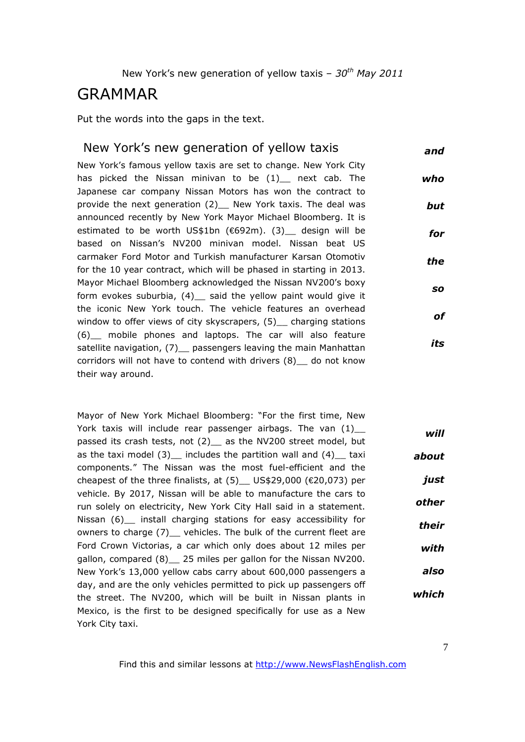# GRAMMAR

Put the words into the gaps in the text.

#### New York's new generation of yellow taxis *and*

New York's famous yellow taxis are set to change. New York City has picked the Nissan minivan to be (1)\_ next cab. The Japanese car company Nissan Motors has won the contract to provide the next generation (2) New York taxis. The deal was announced recently by New York Mayor Michael Bloomberg. It is estimated to be worth US\$1bn ( $692m$ ). (3) design will be based on Nissan's NV200 minivan model. Nissan beat US carmaker Ford Motor and Turkish manufacturer Karsan Otomotiv for the 10 year contract, which will be phased in starting in 2013. Mayor Michael Bloomberg acknowledged the Nissan NV200's boxy form evokes suburbia, (4) said the yellow paint would give it the iconic New York touch. The vehicle features an overhead window to offer views of city skyscrapers, (5) charging stations (6)\_\_ mobile phones and laptops. The car will also feature satellite navigation, (7) passengers leaving the main Manhattan corridors will not have to contend with drivers (8)\_\_ do not know their way around. *who but for the so of its*

Mayor of New York Michael Bloomberg: "For the first time, New York taxis will include rear passenger airbags. The van  $(1)$ passed its crash tests, not (2) as the NV200 street model, but as the taxi model  $(3)$  includes the partition wall and  $(4)$  taxi components." The Nissan was the most fuel-efficient and the cheapest of the three finalists, at  $(5)$  US\$29,000 ( $\in$ 20,073) per vehicle. By 2017, Nissan will be able to manufacture the cars to run solely on electricity, New York City Hall said in a statement. Nissan (6) install charging stations for easy accessibility for owners to charge (7) \_\_ vehicles. The bulk of the current fleet are Ford Crown Victorias, a car which only does about 12 miles per gallon, compared (8) 25 miles per gallon for the Nissan NV200. New York's 13,000 yellow cabs carry about 600,000 passengers a day, and are the only vehicles permitted to pick up passengers off the street. The NV200, which will be built in Nissan plants in Mexico, is the first to be designed specifically for use as a New York City taxi. *will about just other their with also which*